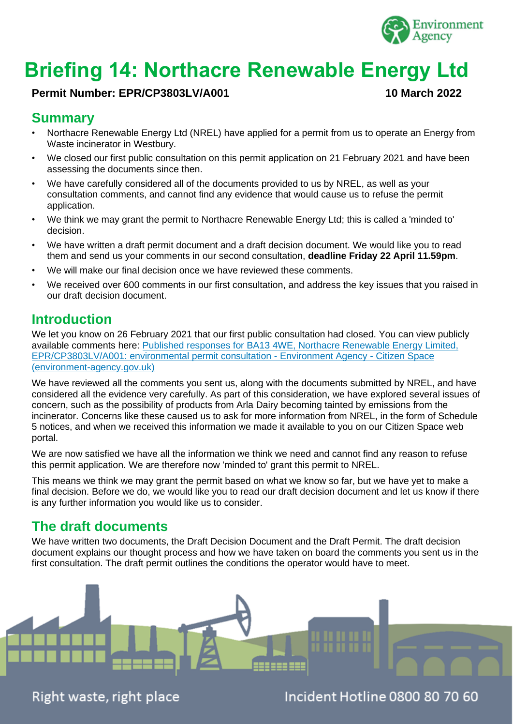

# **Briefing 14: Northacre Renewable Energy Ltd**

#### **Permit Number: EPR/CP3803LV/A001 10 March 2022**

## **Summary**

- Northacre Renewable Energy Ltd (NREL) have applied for a permit from us to operate an Energy from Waste incinerator in Westbury.
- We closed our first public consultation on this permit application on 21 February 2021 and have been assessing the documents since then.
- We have carefully considered all of the documents provided to us by NREL, as well as your consultation comments, and cannot find any evidence that would cause us to refuse the permit application.
- We think we may grant the permit to Northacre Renewable Energy Ltd; this is called a 'minded to' decision.
- We have written a draft permit document and a draft decision document. We would like you to read them and send us your comments in our second consultation, **deadline Friday 22 April 11.59pm**.
- We will make our final decision once we have reviewed these comments.
- We received over 600 comments in our first consultation, and address the key issues that you raised in our draft decision document.

#### **Introduction**

We let you know on 26 February 2021 that our first public consultation had closed. You can view publicly available comments here: [Published responses for BA13 4WE, Northacre Renewable Energy Limited,](https://consult.environment-agency.gov.uk/psc/ba13-4we-northacre-renewable-energy-limited/consultation/published_select_respondent)  [EPR/CP3803LV/A001: environmental permit consultation -](https://consult.environment-agency.gov.uk/psc/ba13-4we-northacre-renewable-energy-limited/consultation/published_select_respondent) Environment Agency - Citizen Space [\(environment-agency.gov.uk\)](https://consult.environment-agency.gov.uk/psc/ba13-4we-northacre-renewable-energy-limited/consultation/published_select_respondent)

We have reviewed all the comments you sent us, along with the documents submitted by NREL, and have considered all the evidence very carefully. As part of this consideration, we have explored several issues of concern, such as the possibility of products from Arla Dairy becoming tainted by emissions from the incinerator. Concerns like these caused us to ask for more information from NREL, in the form of Schedule 5 notices, and when we received this information we made it available to you on our Citizen Space web portal.

We are now satisfied we have all the information we think we need and cannot find any reason to refuse this permit application. We are therefore now 'minded to' grant this permit to NREL.

This means we think we may grant the permit based on what we know so far, but we have yet to make a final decision. Before we do, we would like you to read our draft decision document and let us know if there is any further information you would like us to consider.

## **The draft documents**

We have written two documents, the Draft Decision Document and the Draft Permit. The draft decision document explains our thought process and how we have taken on board the comments you sent us in the first consultation. The draft permit outlines the conditions the operator would have to meet.



Right waste, right place

Incident Hotline 0800 80 70 60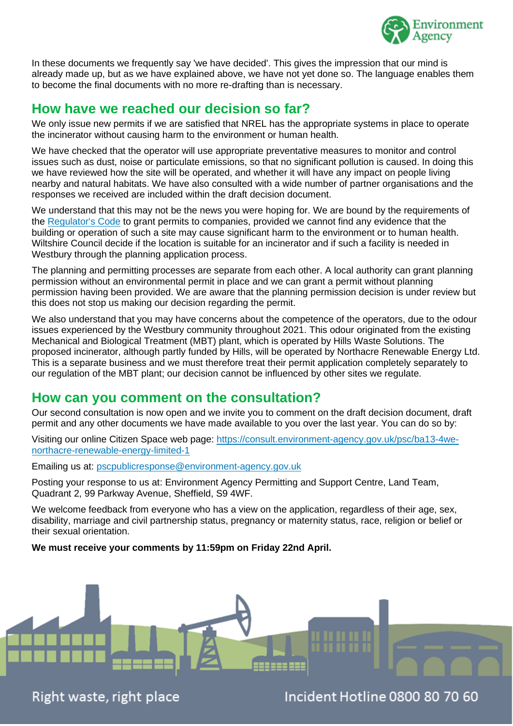

In these documents we frequently say 'we have decided'. This gives the impression that our mind is already made up, but as we have explained above, we have not yet done so. The language enables them to become the final documents with no more re-drafting than is necessary.

#### **How have we reached our decision so far?**

We only issue new permits if we are satisfied that NREL has the appropriate systems in place to operate the incinerator without causing harm to the environment or human health.

We have checked that the operator will use appropriate preventative measures to monitor and control issues such as dust, noise or particulate emissions, so that no significant pollution is caused. In doing this we have reviewed how the site will be operated, and whether it will have any impact on people living nearby and natural habitats. We have also consulted with a wide number of partner organisations and the responses we received are included within the draft decision document.

We understand that this may not be the news you were hoping for. We are bound by the requirements of the [Regulator's Code](https://www.gov.uk/government/publications/regulators-code) to grant permits to companies, provided we cannot find any evidence that the building or operation of such a site may cause significant harm to the environment or to human health. Wiltshire Council decide if the location is suitable for an incinerator and if such a facility is needed in Westbury through the planning application process.

The planning and permitting processes are separate from each other. A local authority can grant planning permission without an environmental permit in place and we can grant a permit without planning permission having been provided. We are aware that the planning permission decision is under review but this does not stop us making our decision regarding the permit.

We also understand that you may have concerns about the competence of the operators, due to the odour issues experienced by the Westbury community throughout 2021. This odour originated from the existing Mechanical and Biological Treatment (MBT) plant, which is operated by Hills Waste Solutions. The proposed incinerator, although partly funded by Hills, will be operated by Northacre Renewable Energy Ltd. This is a separate business and we must therefore treat their permit application completely separately to our regulation of the MBT plant; our decision cannot be influenced by other sites we regulate.

#### **How can you comment on the consultation?**

Our second consultation is now open and we invite you to comment on the draft decision document, draft permit and any other documents we have made available to you over the last year. You can do so by:

Visiting our online Citizen Space web page: [https://consult.environment-agency.gov.uk/psc/ba13-4we](https://eur03.safelinks.protection.outlook.com/?url=https%3A%2F%2Fconsult.environment-agency.gov.uk%2Fpsc%2Fba13-4we-northacre-renewable-energy-limited-1&data=04%7C01%7CEd.Troughton%40environment-agency.gov.uk%7C21bab8d169bd4b4fdc3a08da01b5013a%7C770a245002274c6290c74e38537f1102%7C0%7C0%7C637824174159063831%7CUnknown%7CTWFpbGZsb3d8eyJWIjoiMC4wLjAwMDAiLCJQIjoiV2luMzIiLCJBTiI6Ik1haWwiLCJXVCI6Mn0%3D%7C3000&sdata=lp3yWXRnVBkuunhAl2ZGoGtUCJ7k49eDf0elkPuEdV4%3D&reserved=0)[northacre-renewable-energy-limited-1](https://eur03.safelinks.protection.outlook.com/?url=https%3A%2F%2Fconsult.environment-agency.gov.uk%2Fpsc%2Fba13-4we-northacre-renewable-energy-limited-1&data=04%7C01%7CEd.Troughton%40environment-agency.gov.uk%7C21bab8d169bd4b4fdc3a08da01b5013a%7C770a245002274c6290c74e38537f1102%7C0%7C0%7C637824174159063831%7CUnknown%7CTWFpbGZsb3d8eyJWIjoiMC4wLjAwMDAiLCJQIjoiV2luMzIiLCJBTiI6Ik1haWwiLCJXVCI6Mn0%3D%7C3000&sdata=lp3yWXRnVBkuunhAl2ZGoGtUCJ7k49eDf0elkPuEdV4%3D&reserved=0)

Emailing us at: [pscpublicresponse@environment-agency.gov.uk](mailto:pscpublicresponse@environment-agency.gov.uk)

Posting your response to us at: Environment Agency Permitting and Support Centre, Land Team, Quadrant 2, 99 Parkway Avenue, Sheffield, S9 4WF.

We welcome feedback from everyone who has a view on the application, regardless of their age, sex, disability, marriage and civil partnership status, pregnancy or maternity status, race, religion or belief or their sexual orientation.

**We must receive your comments by 11:59pm on Friday 22nd April.**



Right waste, right place

Incident Hotline 0800 80 70 60